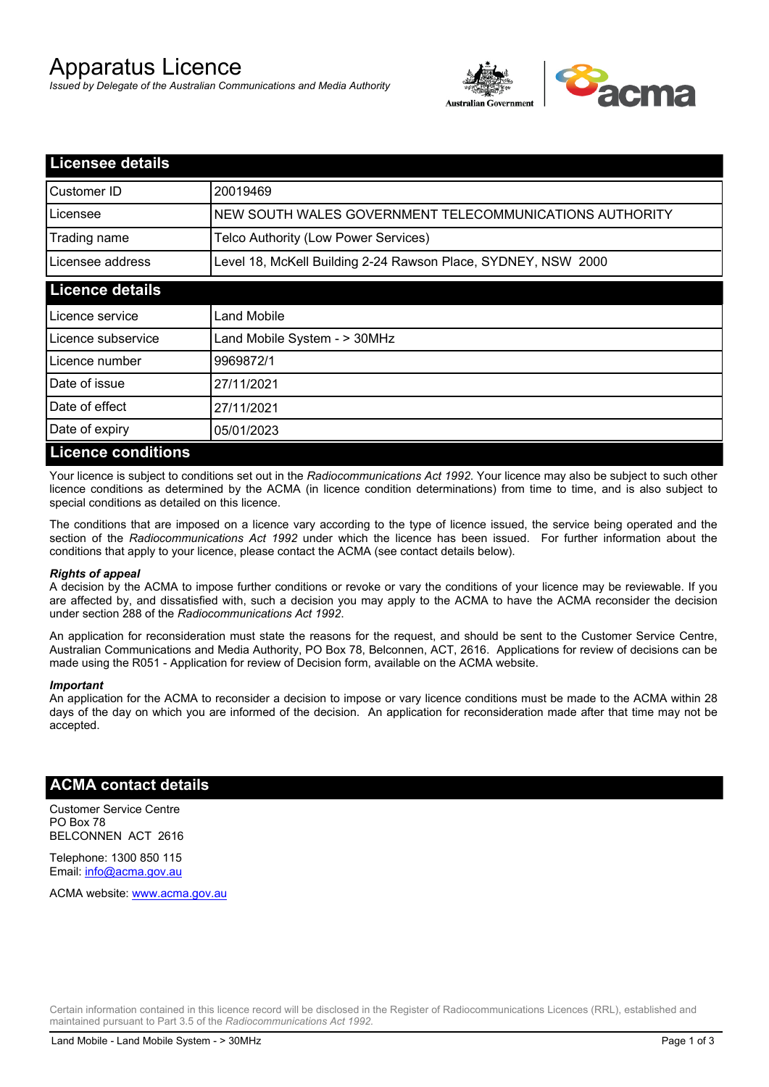# Apparatus Licence

*Issued by Delegate of the Australian Communications and Media Authority*



| <b>Licensee details</b>   |                                                               |  |
|---------------------------|---------------------------------------------------------------|--|
| Customer ID               | 20019469                                                      |  |
| Licensee                  | NEW SOUTH WALES GOVERNMENT TELECOMMUNICATIONS AUTHORITY       |  |
| Trading name              | Telco Authority (Low Power Services)                          |  |
| Licensee address          | Level 18, McKell Building 2-24 Rawson Place, SYDNEY, NSW 2000 |  |
| <b>Licence details</b>    |                                                               |  |
| l Licence service         | Land Mobile                                                   |  |
| Licence subservice        | Land Mobile System - > 30MHz                                  |  |
| Licence number            | 9969872/1                                                     |  |
| Date of issue             | 27/11/2021                                                    |  |
| Date of effect            | 27/11/2021                                                    |  |
| Date of expiry            | 05/01/2023                                                    |  |
| <b>Licence conditions</b> |                                                               |  |

Your licence is subject to conditions set out in the *Radiocommunications Act 1992*. Your licence may also be subject to such other licence conditions as determined by the ACMA (in licence condition determinations) from time to time, and is also subject to special conditions as detailed on this licence.

The conditions that are imposed on a licence vary according to the type of licence issued, the service being operated and the section of the *Radiocommunications Act 1992* under which the licence has been issued. For further information about the conditions that apply to your licence, please contact the ACMA (see contact details below).

#### *Rights of appeal*

A decision by the ACMA to impose further conditions or revoke or vary the conditions of your licence may be reviewable. If you are affected by, and dissatisfied with, such a decision you may apply to the ACMA to have the ACMA reconsider the decision under section 288 of the *Radiocommunications Act 1992*.

An application for reconsideration must state the reasons for the request, and should be sent to the Customer Service Centre, Australian Communications and Media Authority, PO Box 78, Belconnen, ACT, 2616. Applications for review of decisions can be made using the R051 - Application for review of Decision form, available on the ACMA website.

#### *Important*

An application for the ACMA to reconsider a decision to impose or vary licence conditions must be made to the ACMA within 28 days of the day on which you are informed of the decision. An application for reconsideration made after that time may not be accepted.

### **ACMA contact details**

Customer Service Centre PO Box 78 BELCONNEN ACT 2616

Telephone: 1300 850 115 Email: info@acma.gov.au

ACMA website: www.acma.gov.au

Certain information contained in this licence record will be disclosed in the Register of Radiocommunications Licences (RRL), established and maintained pursuant to Part 3.5 of the *Radiocommunications Act 1992.*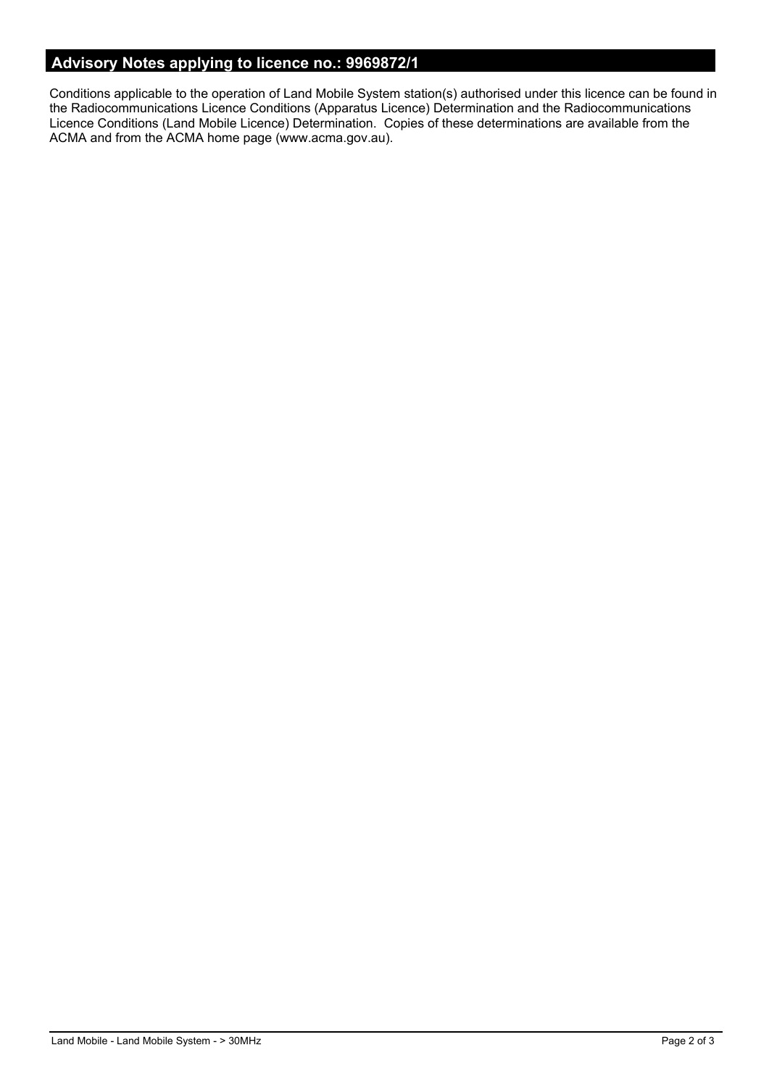# **Advisory Notes applying to licence no.: 9969872/1**

Conditions applicable to the operation of Land Mobile System station(s) authorised under this licence can be found in the Radiocommunications Licence Conditions (Apparatus Licence) Determination and the Radiocommunications Licence Conditions (Land Mobile Licence) Determination. Copies of these determinations are available from the ACMA and from the ACMA home page (www.acma.gov.au).